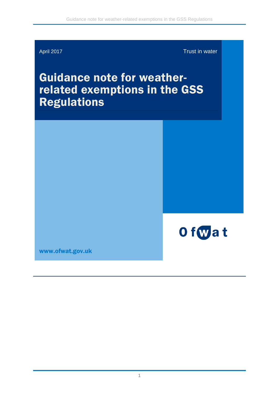

April 2017 **Trust in water** 

# Guidance note for weather-<br>related exemptions in the GSS Regulations



[www.ofwat.gov.uk](http://www.ofwat.gov.uk/)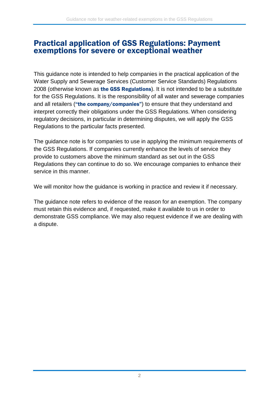#### Practical application of GSS Regulations: Payment exemptions for severe or exceptional weather

This guidance note is intended to help companies in the practical application of the Water Supply and Sewerage Services (Customer Service Standards) Regulations 2008 (otherwise known as the GSS Regulations). It is not intended to be a substitute for the GSS Regulations. It is the responsibility of all water and sewerage companies and all retailers ("the company/companies") to ensure that they understand and interpret correctly their obligations under the GSS Regulations. When considering regulatory decisions, in particular in determining disputes, we will apply the GSS Regulations to the particular facts presented.

The guidance note is for companies to use in applying the minimum requirements of the GSS Regulations. If companies currently enhance the levels of service they provide to customers above the minimum standard as set out in the GSS Regulations they can continue to do so. We encourage companies to enhance their service in this manner.

We will monitor how the guidance is working in practice and review it if necessary.

The guidance note refers to evidence of the reason for an exemption. The company must retain this evidence and, if requested, make it available to us in order to demonstrate GSS compliance. We may also request evidence if we are dealing with a dispute.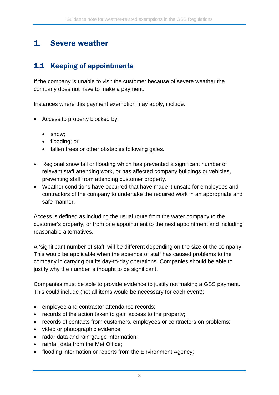# 1. Severe weather

# 1.1 Keeping of appointments

If the company is unable to visit the customer because of severe weather the company does not have to make a payment.

Instances where this payment exemption may apply, include:

- Access to property blocked by:
	- snow;
	- flooding; or
	- fallen trees or other obstacles following gales.
- Regional snow fall or flooding which has prevented a significant number of relevant staff attending work, or has affected company buildings or vehicles, preventing staff from attending customer property.
- Weather conditions have occurred that have made it unsafe for employees and contractors of the company to undertake the required work in an appropriate and safe manner.

Access is defined as including the usual route from the water company to the customer's property, or from one appointment to the next appointment and including reasonable alternatives.

A 'significant number of staff' will be different depending on the size of the company. This would be applicable when the absence of staff has caused problems to the company in carrying out its day-to-day operations. Companies should be able to justify why the number is thought to be significant.

Companies must be able to provide evidence to justify not making a GSS payment. This could include (not all items would be necessary for each event):

- employee and contractor attendance records;
- records of the action taken to gain access to the property;
- records of contacts from customers, employees or contractors on problems;
- video or photographic evidence;
- radar data and rain gauge information;
- rainfall data from the Met Office;
- flooding information or reports from the Environment Agency;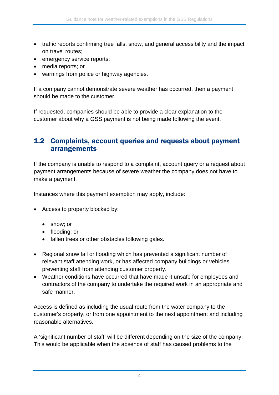- traffic reports confirming tree falls, snow, and general accessibility and the impact on travel routes;
- emergency service reports;
- media reports; or
- warnings from police or highway agencies.

If a company cannot demonstrate severe weather has occurred, then a payment should be made to the customer.

If requested, companies should be able to provide a clear explanation to the customer about why a GSS payment is not being made following the event.

#### 1.2 Complaints, account queries and requests about payment arrangements

If the company is unable to respond to a complaint, account query or a request about payment arrangements because of severe weather the company does not have to make a payment.

Instances where this payment exemption may apply, include:

- Access to property blocked by:
	- snow; or
	- flooding; or
	- fallen trees or other obstacles following gales.
- Regional snow fall or flooding which has prevented a significant number of relevant staff attending work, or has affected company buildings or vehicles preventing staff from attending customer property.
- Weather conditions have occurred that have made it unsafe for employees and contractors of the company to undertake the required work in an appropriate and safe manner.

Access is defined as including the usual route from the water company to the customer's property, or from one appointment to the next appointment and including reasonable alternatives.

A 'significant number of staff' will be different depending on the size of the company. This would be applicable when the absence of staff has caused problems to the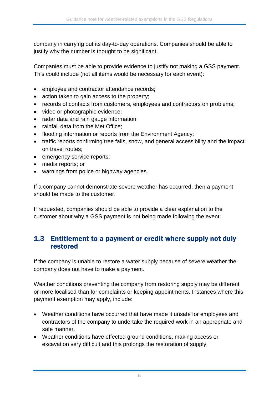company in carrying out its day-to-day operations. Companies should be able to justify why the number is thought to be significant.

Companies must be able to provide evidence to justify not making a GSS payment. This could include (not all items would be necessary for each event):

- employee and contractor attendance records;
- action taken to gain access to the property;
- records of contacts from customers, employees and contractors on problems;
- video or photographic evidence;
- radar data and rain gauge information;
- rainfall data from the Met Office:
- flooding information or reports from the Environment Agency;
- traffic reports confirming tree falls, snow, and general accessibility and the impact on travel routes;
- emergency service reports;
- media reports; or
- warnings from police or highway agencies.

If a company cannot demonstrate severe weather has occurred, then a payment should be made to the customer.

If requested, companies should be able to provide a clear explanation to the customer about why a GSS payment is not being made following the event.

#### 1.3 Entitlement to a payment or credit where supply not duly restored

If the company is unable to restore a water supply because of severe weather the company does not have to make a payment.

Weather conditions preventing the company from restoring supply may be different or more localised than for complaints or keeping appointments. Instances where this payment exemption may apply, include:

- Weather conditions have occurred that have made it unsafe for employees and contractors of the company to undertake the required work in an appropriate and safe manner.
- Weather conditions have effected ground conditions, making access or excavation very difficult and this prolongs the restoration of supply.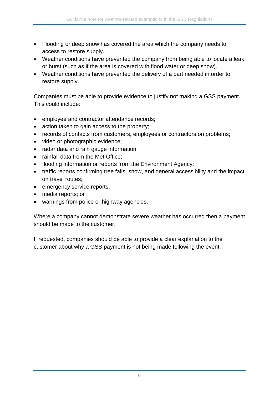- Flooding or deep snow has covered the area which the company needs to access to restore supply.
- Weather conditions have prevented the company from being able to locate a leak or burst (such as if the area is covered with flood water or deep snow).
- Weather conditions have prevented the delivery of a part needed in order to restore supply.

Companies must be able to provide evidence to justify not making a GSS payment. This could include:

- employee and contractor attendance records;
- action taken to gain access to the property;
- records of contacts from customers, employees or contractors on problems;
- video or photographic evidence;
- radar data and rain gauge information;
- rainfall data from the Met Office;
- flooding information or reports from the Environment Agency;
- traffic reports confirming tree falls, snow, and general accessibility and the impact on travel routes;
- emergency service reports;
- media reports; or
- warnings from police or highway agencies.

Where a company cannot demonstrate severe weather has occurred then a payment should be made to the customer.

If requested, companies should be able to provide a clear explanation to the customer about why a GSS payment is not being made following the event.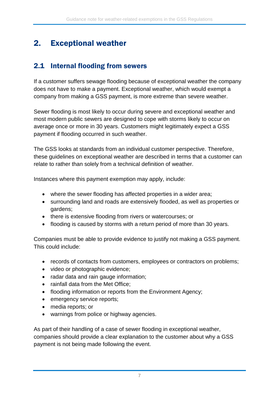# 2. Exceptional weather

### 2.1 Internal flooding from sewers

If a customer suffers sewage flooding because of exceptional weather the company does not have to make a payment. Exceptional weather, which would exempt a company from making a GSS payment, is more extreme than severe weather.

Sewer flooding is most likely to occur during severe and exceptional weather and most modern public sewers are designed to cope with storms likely to occur on average once or more in 30 years. Customers might legitimately expect a GSS payment if flooding occurred in such weather.

The GSS looks at standards from an individual customer perspective. Therefore, these guidelines on exceptional weather are described in terms that a customer can relate to rather than solely from a technical definition of weather.

Instances where this payment exemption may apply, include:

- where the sewer flooding has affected properties in a wider area;
- surrounding land and roads are extensively flooded, as well as properties or gardens;
- there is extensive flooding from rivers or watercourses; or
- flooding is caused by storms with a return period of more than 30 years.

Companies must be able to provide evidence to justify not making a GSS payment. This could include:

- records of contacts from customers, employees or contractors on problems;
- video or photographic evidence;
- radar data and rain gauge information;
- rainfall data from the Met Office:
- flooding information or reports from the Environment Agency;
- emergency service reports;
- media reports; or
- warnings from police or highway agencies.

As part of their handling of a case of sewer flooding in exceptional weather, companies should provide a clear explanation to the customer about why a GSS payment is not being made following the event.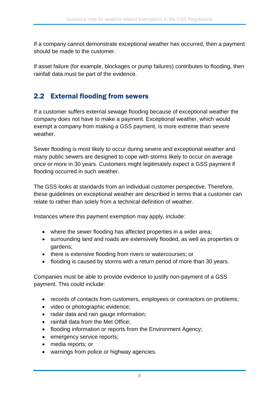If a company cannot demonstrate exceptional weather has occurred, then a payment should be made to the customer.

If asset failure (for example, blockages or pump failures) contributes to flooding, then rainfall data must be part of the evidence.

## 2.2 External flooding from sewers

If a customer suffers external sewage flooding because of exceptional weather the company does not have to make a payment. Exceptional weather, which would exempt a company from making a GSS payment, is more extreme than severe weather.

Sewer flooding is most likely to occur during severe and exceptional weather and many public sewers are designed to cope with storms likely to occur on average once or more in 30 years. Customers might legitimately expect a GSS payment if flooding occurred in such weather.

The GSS looks at standards from an individual customer perspective. Therefore, these guidelines on exceptional weather are described in terms that a customer can relate to rather than solely from a technical definition of weather.

Instances where this payment exemption may apply, include:

- where the sewer flooding has affected properties in a wider area;
- surrounding land and roads are extensively flooded, as well as properties or gardens;
- there is extensive flooding from rivers or watercourses; or
- flooding is caused by storms with a return period of more than 30 years.

Companies must be able to provide evidence to justify non-payment of a GSS payment. This could include:

- records of contacts from customers, employees or contractors on problems;
- video or photographic evidence;
- radar data and rain gauge information;
- rainfall data from the Met Office;
- flooding information or reports from the Environment Agency;
- emergency service reports;
- media reports; or
- warnings from police or highway agencies.